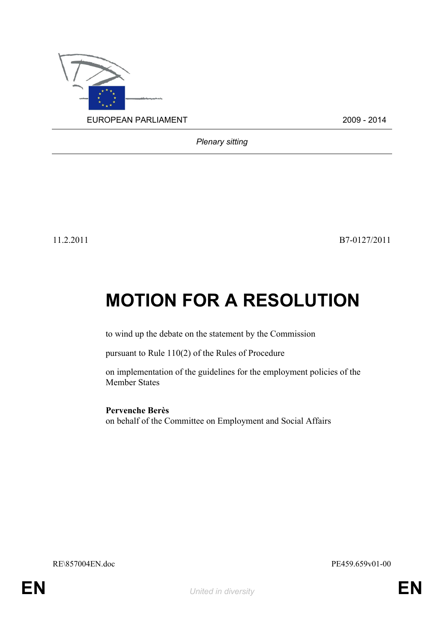

*Plenary sitting*

11.2.2011 B7-0127/2011

# **MOTION FOR A RESOLUTION**

to wind up the debate on the statement by the Commission

pursuant to Rule 110(2) of the Rules of Procedure

on implementation of the guidelines for the employment policies of the Member States

**Pervenche Berès** on behalf of the Committee on Employment and Social Affairs

RE\857004EN.doc PE459.659v01-00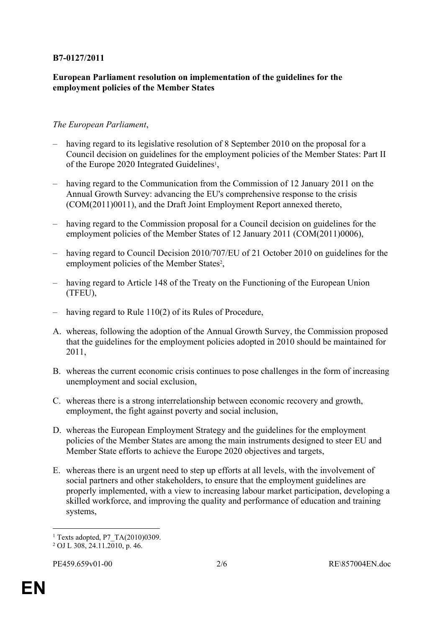### **B7-0127/2011**

#### **European Parliament resolution on implementation of the guidelines for the employment policies of the Member States**

#### *The European Parliament*,

- having regard to its legislative resolution of 8 September 2010 on the proposal for a Council decision on guidelines for the employment policies of the Member States: Part II of the Europe 2020 Integrated Guidelines<sup>1</sup>,
- having regard to the Communication from the Commission of 12 January 2011 on the Annual Growth Survey: advancing the EU's comprehensive response to the crisis (COM(2011)0011), and the Draft Joint Employment Report annexed thereto,
- having regard to the Commission proposal for a Council decision on guidelines for the employment policies of the Member States of 12 January 2011 (COM(2011)0006),
- having regard to Council Decision 2010/707/EU of 21 October 2010 on guidelines for the employment policies of the Member States<sup>2</sup>,
- having regard to Article 148 of the Treaty on the Functioning of the European Union (TFEU),
- having regard to Rule 110(2) of its Rules of Procedure,
- A. whereas, following the adoption of the Annual Growth Survey, the Commission proposed that the guidelines for the employment policies adopted in 2010 should be maintained for 2011,
- B. whereas the current economic crisis continues to pose challenges in the form of increasing unemployment and social exclusion,
- C. whereas there is a strong interrelationship between economic recovery and growth, employment, the fight against poverty and social inclusion,
- D. whereas the European Employment Strategy and the guidelines for the employment policies of the Member States are among the main instruments designed to steer EU and Member State efforts to achieve the Europe 2020 objectives and targets,
- E. whereas there is an urgent need to step up efforts at all levels, with the involvement of social partners and other stakeholders, to ensure that the employment guidelines are properly implemented, with a view to increasing labour market participation, developing a skilled workforce, and improving the quality and performance of education and training systems,

<sup>&</sup>lt;sup>1</sup> Texts adopted, P7 TA(2010)0309.

<sup>2</sup> OJ L 308, 24.11.2010, p. 46.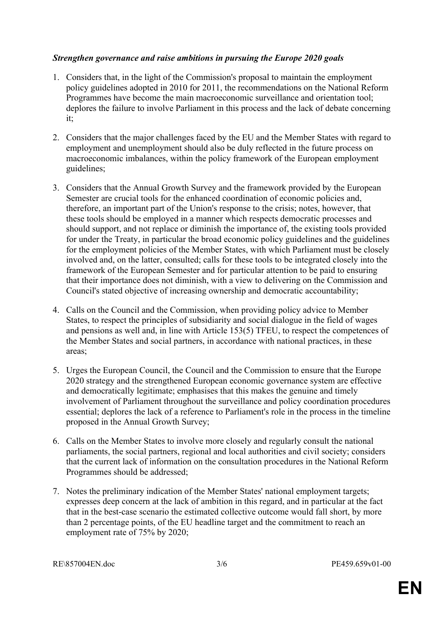#### *Strengthen governance and raise ambitions in pursuing the Europe 2020 goals*

- 1. Considers that, in the light of the Commission's proposal to maintain the employment policy guidelines adopted in 2010 for 2011, the recommendations on the National Reform Programmes have become the main macroeconomic surveillance and orientation tool; deplores the failure to involve Parliament in this process and the lack of debate concerning it;
- 2. Considers that the major challenges faced by the EU and the Member States with regard to employment and unemployment should also be duly reflected in the future process on macroeconomic imbalances, within the policy framework of the European employment guidelines;
- 3. Considers that the Annual Growth Survey and the framework provided by the European Semester are crucial tools for the enhanced coordination of economic policies and, therefore, an important part of the Union's response to the crisis; notes, however, that these tools should be employed in a manner which respects democratic processes and should support, and not replace or diminish the importance of, the existing tools provided for under the Treaty, in particular the broad economic policy guidelines and the guidelines for the employment policies of the Member States, with which Parliament must be closely involved and, on the latter, consulted; calls for these tools to be integrated closely into the framework of the European Semester and for particular attention to be paid to ensuring that their importance does not diminish, with a view to delivering on the Commission and Council's stated objective of increasing ownership and democratic accountability;
- 4. Calls on the Council and the Commission, when providing policy advice to Member States, to respect the principles of subsidiarity and social dialogue in the field of wages and pensions as well and, in line with Article 153(5) TFEU, to respect the competences of the Member States and social partners, in accordance with national practices, in these areas;
- 5. Urges the European Council, the Council and the Commission to ensure that the Europe 2020 strategy and the strengthened European economic governance system are effective and democratically legitimate; emphasises that this makes the genuine and timely involvement of Parliament throughout the surveillance and policy coordination procedures essential; deplores the lack of a reference to Parliament's role in the process in the timeline proposed in the Annual Growth Survey;
- 6. Calls on the Member States to involve more closely and regularly consult the national parliaments, the social partners, regional and local authorities and civil society; considers that the current lack of information on the consultation procedures in the National Reform Programmes should be addressed;
- 7. Notes the preliminary indication of the Member States' national employment targets; expresses deep concern at the lack of ambition in this regard, and in particular at the fact that in the best-case scenario the estimated collective outcome would fall short, by more than 2 percentage points, of the EU headline target and the commitment to reach an employment rate of 75% by 2020;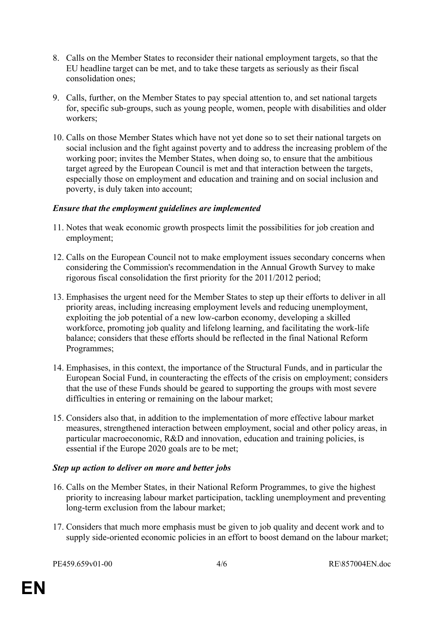- 8. Calls on the Member States to reconsider their national employment targets, so that the EU headline target can be met, and to take these targets as seriously as their fiscal consolidation ones;
- 9. Calls, further, on the Member States to pay special attention to, and set national targets for, specific sub-groups, such as young people, women, people with disabilities and older workers;
- 10. Calls on those Member States which have not yet done so to set their national targets on social inclusion and the fight against poverty and to address the increasing problem of the working poor; invites the Member States, when doing so, to ensure that the ambitious target agreed by the European Council is met and that interaction between the targets, especially those on employment and education and training and on social inclusion and poverty, is duly taken into account;

#### *Ensure that the employment guidelines are implemented*

- 11. Notes that weak economic growth prospects limit the possibilities for job creation and employment;
- 12. Calls on the European Council not to make employment issues secondary concerns when considering the Commission's recommendation in the Annual Growth Survey to make rigorous fiscal consolidation the first priority for the 2011/2012 period;
- 13. Emphasises the urgent need for the Member States to step up their efforts to deliver in all priority areas, including increasing employment levels and reducing unemployment, exploiting the job potential of a new low-carbon economy, developing a skilled workforce, promoting job quality and lifelong learning, and facilitating the work-life balance; considers that these efforts should be reflected in the final National Reform Programmes;
- 14. Emphasises, in this context, the importance of the Structural Funds, and in particular the European Social Fund, in counteracting the effects of the crisis on employment; considers that the use of these Funds should be geared to supporting the groups with most severe difficulties in entering or remaining on the labour market;
- 15. Considers also that, in addition to the implementation of more effective labour market measures, strengthened interaction between employment, social and other policy areas, in particular macroeconomic, R&D and innovation, education and training policies, is essential if the Europe 2020 goals are to be met;

## *Step up action to deliver on more and better jobs*

- 16. Calls on the Member States, in their National Reform Programmes, to give the highest priority to increasing labour market participation, tackling unemployment and preventing long-term exclusion from the labour market;
- 17. Considers that much more emphasis must be given to job quality and decent work and to supply side-oriented economic policies in an effort to boost demand on the labour market;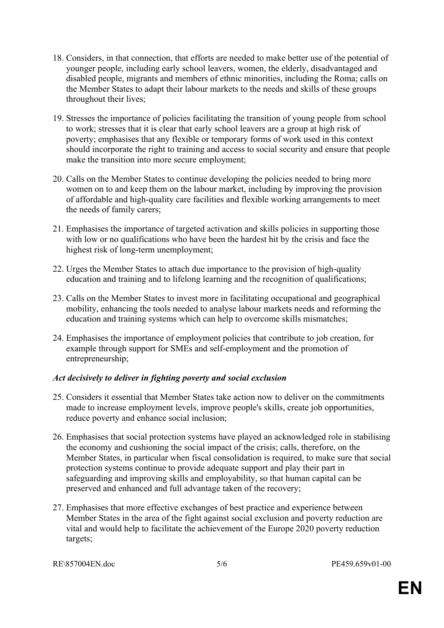- 18. Considers, in that connection, that efforts are needed to make better use of the potential of younger people, including early school leavers, women, the elderly, disadvantaged and disabled people, migrants and members of ethnic minorities, including the Roma; calls on the Member States to adapt their labour markets to the needs and skills of these groups throughout their lives;
- 19. Stresses the importance of policies facilitating the transition of young people from school to work; stresses that it is clear that early school leavers are a group at high risk of poverty; emphasises that any flexible or temporary forms of work used in this context should incorporate the right to training and access to social security and ensure that people make the transition into more secure employment;
- 20. Calls on the Member States to continue developing the policies needed to bring more women on to and keep them on the labour market, including by improving the provision of affordable and high-quality care facilities and flexible working arrangements to meet the needs of family carers;
- 21. Emphasises the importance of targeted activation and skills policies in supporting those with low or no qualifications who have been the hardest hit by the crisis and face the highest risk of long-term unemployment;
- 22. Urges the Member States to attach due importance to the provision of high-quality education and training and to lifelong learning and the recognition of qualifications;
- 23. Calls on the Member States to invest more in facilitating occupational and geographical mobility, enhancing the tools needed to analyse labour markets needs and reforming the education and training systems which can help to overcome skills mismatches;
- 24. Emphasises the importance of employment policies that contribute to job creation, for example through support for SMEs and self-employment and the promotion of entrepreneurship;

## *Act decisively to deliver in fighting poverty and social exclusion*

- 25. Considers it essential that Member States take action now to deliver on the commitments made to increase employment levels, improve people's skills, create job opportunities, reduce poverty and enhance social inclusion;
- 26. Emphasises that social protection systems have played an acknowledged role in stabilising the economy and cushioning the social impact of the crisis; calls, therefore, on the Member States, in particular when fiscal consolidation is required, to make sure that social protection systems continue to provide adequate support and play their part in safeguarding and improving skills and employability, so that human capital can be preserved and enhanced and full advantage taken of the recovery;
- 27. Emphasises that more effective exchanges of best practice and experience between Member States in the area of the fight against social exclusion and poverty reduction are vital and would help to facilitate the achievement of the Europe 2020 poverty reduction targets;